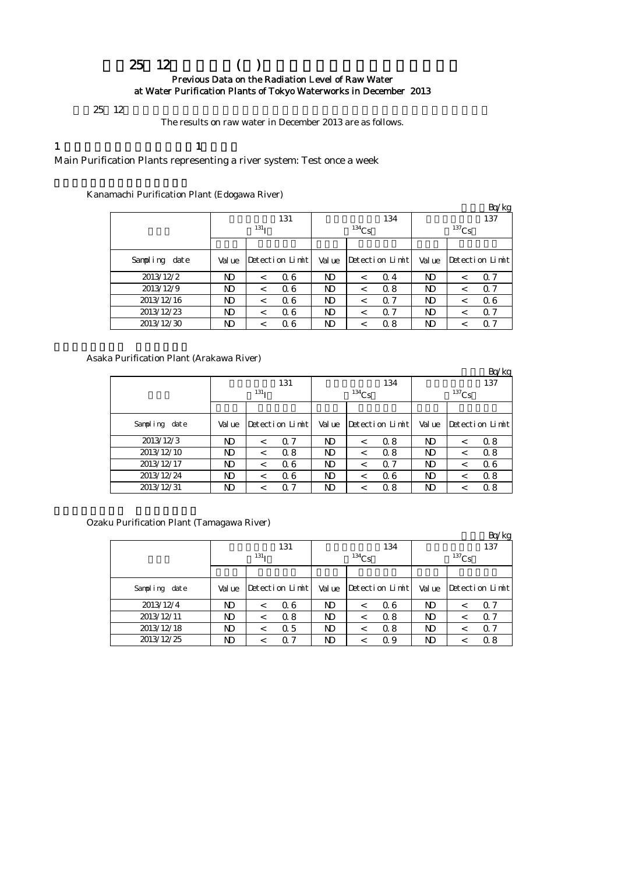## 平成25年12月の浄水場(所)の原水の放射能測定結果について Previous Data on the Radiation Level of Raw Water at Water Purification Plants of Tokyo Waterworks in December 2013

 $25 \t12$ 

The results on raw water in December 2013 are as follows.

### 1  $\qquad \qquad$  1

Main Purification Plants representing a river system: Test once a week

Kanamachi Purification Plant (Edogawa River)

|               |       |                  |                 |        |          |                 |        |            | Bq/kg           |  |  |  |
|---------------|-------|------------------|-----------------|--------|----------|-----------------|--------|------------|-----------------|--|--|--|
|               |       |                  | 131             |        | 134      |                 |        |            | 137             |  |  |  |
|               |       | 131 <sub>T</sub> |                 |        | $134$ Cs |                 |        | $^{137}Cs$ |                 |  |  |  |
|               |       |                  |                 |        |          |                 |        |            |                 |  |  |  |
| Sampling date | Value |                  | Detection Limit | Val ue |          | Detection Limit | Val ue |            | Detection Limit |  |  |  |
| 2013/12/2     | ND    | $\,<\,$          | 06              | ND     | $\,<\,$  | $\Omega$ 4      | ND     | $\,<\,$    | 0.7             |  |  |  |
| 2013/12/9     | ND    | $\,<\,$          | 06              | ND     | <        | 0.8             | ND     | $\,<\,$    | 0.7             |  |  |  |
| 2013/12/16    | ND    | $\,<\,$          | 06              | ND     | <        | $\Omega$ 7      | ND     | $\,<\,$    | 06              |  |  |  |
| 2013/12/23    | ND    | $\,<\,$          | Q 6             | ND     | <        | $\alpha$ 7      | ND     | <          | Q 7             |  |  |  |
| 2013/12/30    | ND    |                  | Q 6             | ND     |          | 0.8             | ND     | <          | Q 7             |  |  |  |

#### Asaka Purification Plant (Arakawa River)

|               |       |                  |                 |       |            |                 |                |         | Bq/kg           |  |
|---------------|-------|------------------|-----------------|-------|------------|-----------------|----------------|---------|-----------------|--|
|               |       |                  | 131             | 134   |            |                 |                | 137     |                 |  |
|               |       | 131 <sub>T</sub> |                 |       | $^{134}Cs$ |                 | $137$ Cs       |         |                 |  |
|               |       |                  |                 |       |            |                 |                |         |                 |  |
| Sampling date | Value |                  | Detection Limit | Value |            | Detection Limit | Val ue         |         | Detection Limit |  |
| 2013/12/3     | ND.   | $\,<\,$          | 0.7             | ND    | $\,<\,$    | 0.8             | ND             | $\,<\,$ | 0.8             |  |
| 2013/12/10    | ND    | $\,<\,$          | 0.8             | ND    | $\,<\,$    | 0.8             | N <sub>D</sub> | <       | 0.8             |  |
| 2013/12/17    | ND    | $\,<\,$          | 06              | ND    | $\,<\,$    | Q <sub>7</sub>  | ND             | <       | 06              |  |
| 2013/12/24    | ND    | $\,<\,$          | 06              | ND    | $\,<\,$    | 06              | ND             | $\,<\,$ | 0.8             |  |
| 2013/12/31    | ND    | $\,<\,$          | 0.7             | ND    | ≺          | 0.8             | ND             |         | 0.8             |  |

Ozaku Purification Plant (Tamagawa River)

|               |            |         |                 |       |          |                 |                |   | Bq/kg           |  |
|---------------|------------|---------|-----------------|-------|----------|-----------------|----------------|---|-----------------|--|
|               |            |         | 131             |       |          | 134             | 137            |   |                 |  |
|               | $^{131}$ T |         |                 |       | $134$ Cs |                 | $137$ Cs       |   |                 |  |
|               |            |         |                 |       |          |                 |                |   |                 |  |
| Sampling date | Val ue     |         | Detection Limit | Value |          | Detection Limit | Val ue         |   | Detection Limit |  |
| 2013/12/4     | ND         | $\,<\,$ | 06              | ND    | $\,<\,$  | 06              | ND             | < | Q 7             |  |
| 2013/12/11    | ND         | $\,<\,$ | 0.8             | ND    | $\,<\,$  | 0.8             | ND             | < | 0.7             |  |
| 2013/12/18    | ND         | $\,<\,$ | 0.5             | ND    | $\,<\,$  | 0.8             | N <sub>D</sub> | < | 0.7             |  |
| 2013/12/25    | ND         | <       | 0.7             | ND    |          | Q 9             | ND             | < | 0.8             |  |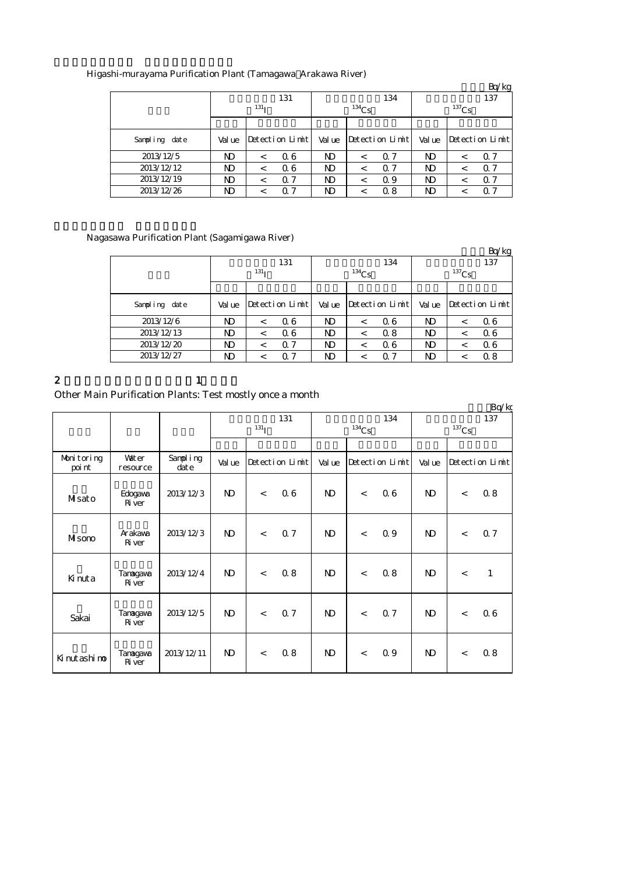|               |                  |         |                 |       |            |                 |          |         | Bq/kg           |  |
|---------------|------------------|---------|-----------------|-------|------------|-----------------|----------|---------|-----------------|--|
|               |                  |         | 131             |       |            | 134             | 137      |         |                 |  |
|               | 131 <sub>T</sub> |         |                 |       | $^{134}Cs$ |                 | $137$ Cs |         |                 |  |
|               |                  |         |                 |       |            |                 |          |         |                 |  |
| Sampling date | Val ue           |         | Detection Limit | Value |            | Detection Limit | Val ue   |         | Detection Limit |  |
| 2013/12/5     | ND               | $\,<\,$ | 06              | ND    | $\,<\,$    | 0.7             | ND       | $\,<\,$ | Q 7             |  |
| 2013/12/12    | ND               | $\,<\,$ | 06              | ND    | $\,<\,$    | 0.7             | ND       | $\,<\,$ | Q 7             |  |
| 2013/12/19    | ND               | <       | 0.7             | ND    | $\,<\,$    | 0.9             | ND.      | <       | 0.7             |  |
| 2013/12/26    | ND               | <       | Q 7             | ND    |            | 08              | ND       | <       | Q 7             |  |

### Higashi-murayama Purification Plant (Tamagawa Arakawa River)

### Nagasawa Purification Plant (Sagamigawa River)

|               |        |                  |                 |        |          |                 |        |          | Bq/kg           |
|---------------|--------|------------------|-----------------|--------|----------|-----------------|--------|----------|-----------------|
|               |        |                  | 131             |        |          | 134             |        |          | 137             |
|               |        | 131 <sub>T</sub> |                 |        | $134$ Cs |                 |        | $137$ Cs |                 |
|               |        |                  |                 |        |          |                 |        |          |                 |
| Sampling date | Val ue |                  | Detection Limit | Val ue |          | Detection Limit | Val ue |          | Detection Limit |
| 2013/12/6     | ND.    | $\,<\,$          | 06              | ND     | $\,<\,$  | 06              | ND     | $\,<\,$  | 06              |
| 2013/12/13    | ND.    | $\,<\,$          | 06              | ND     | $\,<\,$  | 0.8             | ND     | $\,<\,$  | 06              |
| 2013/12/20    | ND.    | $\,<\,$          | 0.7             | ND     | <        | 06              | ND     | $\,<\,$  | 06              |
| 2013/12/27    | ND.    | $\,<\,$          | $\alpha$ 7      | ND     | ≺        | Q <sub>7</sub>  | ND     | $\,<\,$  | 0.8             |

2 and  $\lambda$  1

# Other Main Purification Plants: Test mostly once a month

|                      |                           |                      |              |                  |                 |                |          |                 |                |       | Bq/kg           |
|----------------------|---------------------------|----------------------|--------------|------------------|-----------------|----------------|----------|-----------------|----------------|-------|-----------------|
|                      |                           |                      |              |                  | 131             |                |          | 134             |                |       | 137             |
|                      |                           |                      |              | 131 <sub>I</sub> |                 |                | $134$ Cs |                 | $137$ Cs       |       |                 |
|                      |                           |                      |              |                  |                 |                |          |                 |                |       |                 |
| Monitoring<br>poi nt | Vater<br>resource         | Sampling<br>$\det e$ | Val ue       |                  | Detection Limit | Val ue         |          | Detection Limit | Val ue         |       | Detection Limit |
| Misato               | Edogaya<br><b>R</b> ver   | 2013/12/3            | $\mathbf{D}$ | $\lt$            | 06              | $\mathbf{D}$   | $\,<\,$  | 06              | N <sub>D</sub> | $\lt$ | 0.8             |
| Misono               | Arakawa<br><b>R</b> ver   | 2013/12/3            | $\mathbf{D}$ | $\lt$            | Q 7             | $\mathbf{D}$   | $\,<\,$  | 0.9             | $\mathbf{D}$   | $\lt$ | 0.7             |
| Kinuta               | Tanagawa<br><b>R</b> ver  | 2013/12/4            | $\mathbf{D}$ | $\lt$            | 0.8             | N <sub>D</sub> | $\lt$    | 0.8             | N <sub>D</sub> | $\lt$ | $\mathbf{1}$    |
| Sakai                | Tanagawa<br><b>R</b> ver  | 2013/12/5            | $\mathbf{D}$ | $\lt$            | 07              | $\mathbf{D}$   | $\lt$    | 0.7             | N <sub>D</sub> | $\lt$ | 06              |
| Kinutashino          | Tanagawa<br><b>R</b> iver | 2013/12/11           | $\mathbf{D}$ | $\lt$            | 0.8             | $\mathbf{D}$   | $\,<\,$  | 0.9             | N <sub>D</sub> | $\lt$ | 0.8             |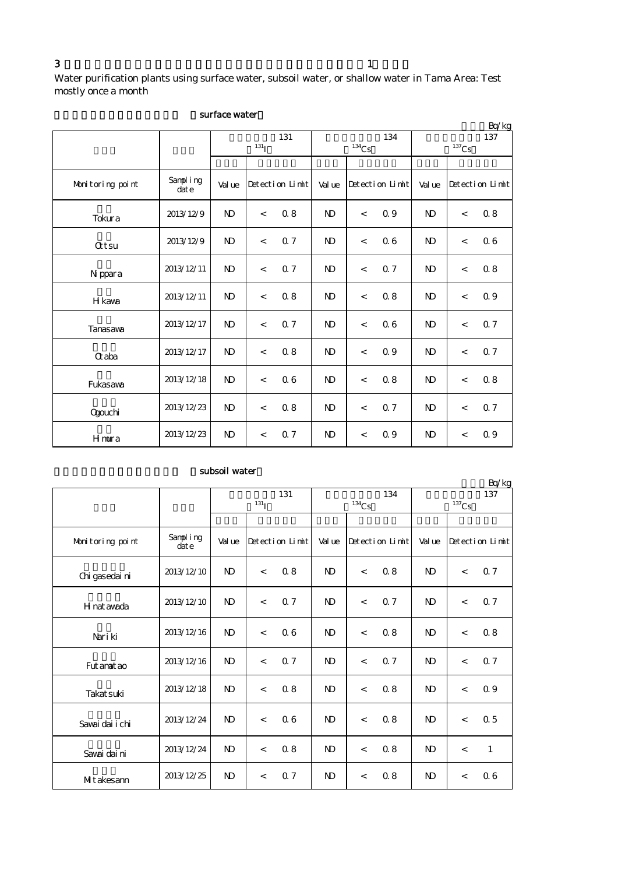Water purification plants using surface water, subsoil water, or shallow water in Tama Area: Test mostly once a month

|                  |                  |                |                |                 |                |                          |                 |                |          | Bq/kg           |
|------------------|------------------|----------------|----------------|-----------------|----------------|--------------------------|-----------------|----------------|----------|-----------------|
|                  |                  |                |                | 131             |                |                          | 134             |                |          | 137             |
|                  |                  |                | $^{131}$ I     |                 |                | $134$ Cs                 |                 |                | $137$ Cs |                 |
|                  |                  |                |                |                 |                |                          |                 |                |          |                 |
| Monitoring point | Sampling<br>date | Val ue         |                | Detection Limit | Value          |                          | Detection Limit | Val ue         |          | Detection Limit |
| Tokura           | 2013/12/9        | <b>ND</b>      | $\overline{a}$ | 0.8             | <b>ND</b>      | $\lt$                    | 0.9             | <b>ND</b>      | $\lt$    | 0.8             |
| <b>Qtsu</b>      | 2013/12/9        | N <sub>D</sub> | $\overline{a}$ | 0.7             | $\mathbf{D}$   | $\overline{a}$           | 06              | $\mathbf{N}$   | $\,<$    | 06              |
| N ppara          | 2013/12/11       | N <sub>D</sub> | $\,<$          | Q <sub>7</sub>  | $\mathbf{N}$   | $\lt$                    | Q <sub>7</sub>  | $\mathbf{N}$   | $\,<$    | 0.8             |
| <b>H</b> kawa    | 2013/12/11       | <b>ND</b>      | $\overline{a}$ | 0.8             | N <sub>D</sub> | $\lt$                    | 0.8             | N <sub>D</sub> | $\,<$    | 0.9             |
| Tanasawa         | 2013/12/17       | N <sub>D</sub> | $\overline{a}$ | Q <sub>7</sub>  | N <sub>D</sub> | $\lt$                    | 06              | N <sub>D</sub> | $\lt$    | 0.7             |
| Craba            | 2013/12/17       | <b>ND</b>      | $\lt$          | 0.8             | $\mathbf{N}$   | $\lt$                    | 0.9             | $\mathbf{N}$   | $\lt$    | 0.7             |
| Fukasawa         | 2013/12/18       | <b>ND</b>      | $\lt$          | 06              | N <sub>D</sub> | $\lt$                    | 0.8             | $\mathbf{D}$   | $\,<$    | 0.8             |
| <b>Ogouchi</b>   | 2013/12/23       | $\mathbf{N}$   | $\,<$          | 0.8             | $\mathbf{N}$   | $\lt$                    | Q <sub>7</sub>  | $\mathbf{N}$   | $\,<$    | 0.7             |
| Hmura            | 2013/12/23       | N <sub>D</sub> | $\,<$          | 0.7             | $\mathbf{N}$   | $\overline{\phantom{a}}$ | 0.9             | N <sub>D</sub> | $\,<$    | 0.9             |

#### surface water

### subsoil water

|                  |                   |                |                          |                 |                |                     |                 |                     |                          | Bq/kg           |
|------------------|-------------------|----------------|--------------------------|-----------------|----------------|---------------------|-----------------|---------------------|--------------------------|-----------------|
|                  |                   |                |                          | 131             |                |                     | 134             |                     |                          | 137             |
|                  |                   |                | 131 <sub>I</sub>         |                 |                | $^{134}\mathrm{Cs}$ |                 | $^{137}\mathrm{Cs}$ |                          |                 |
|                  |                   |                |                          |                 |                |                     |                 |                     |                          |                 |
| Monitoring point | Sampling<br>dat e | Val ue         |                          | Detection Limit | Value          |                     | Detection Limit | Value               |                          | Detection Limit |
| Chi gasedai ni   | 2013/12/10        | N <sub>D</sub> | $\overline{\phantom{a}}$ | 0.8             | N <sub>D</sub> | $\lt$               | 0.8             | N <sub>D</sub>      | $\overline{\phantom{a}}$ | 0.7             |
| H nat awada      | 2013/12/10        | $\mathbf{N}$   | $\,<$                    | Q <sub>7</sub>  | N <sub>D</sub> | $\,<$               | Q <sub>7</sub>  | N <sub>D</sub>      | $\,<$                    | 0.7             |
| Nari ki          | 2013/12/16        | N <sub>D</sub> | $\overline{a}$           | 06              | N <sub>D</sub> | $\lt$               | 0.8             | N <sub>D</sub>      | $\prec$                  | 0.8             |
| Fut anat ao      | 2013/12/16        | $\mathbf{N}$   | $\,<$                    | 0.7             | $\mathbf{N}$   | $\lt$               | Q <sub>7</sub>  | N <sub>D</sub>      | $\,<$                    | 0.7             |
| Takat suki       | 2013/12/18        | N <sub>D</sub> | $\overline{\phantom{a}}$ | 0.8             | N <sub>D</sub> | $\lt$               | 0.8             | N <sub>D</sub>      | $\prec$                  | 0.9             |
| Sawai dai i chi  | 2013/12/24        | $\mathbf{N}$   | $\prec$                  | 06              | $\mathbf{N}$   | $\,<$               | 0.8             | N <sub>D</sub>      | $\prec$                  | 0.5             |
| Savai dai ni     | 2013/12/24        | N <sub>D</sub> | $\overline{\phantom{a}}$ | 0.8             | N <sub>D</sub> | $\lt$               | 0.8             | <b>ND</b>           | $\prec$                  | $\mathbf{1}$    |
| Mitakesann       | 2013/12/25        | $\mathbf{N}$   | $\,<$                    | 0.7             | $\mathbf{D}$   | $\,<$               | 0.8             | N <sub>D</sub>      | $\,<$                    | 06              |